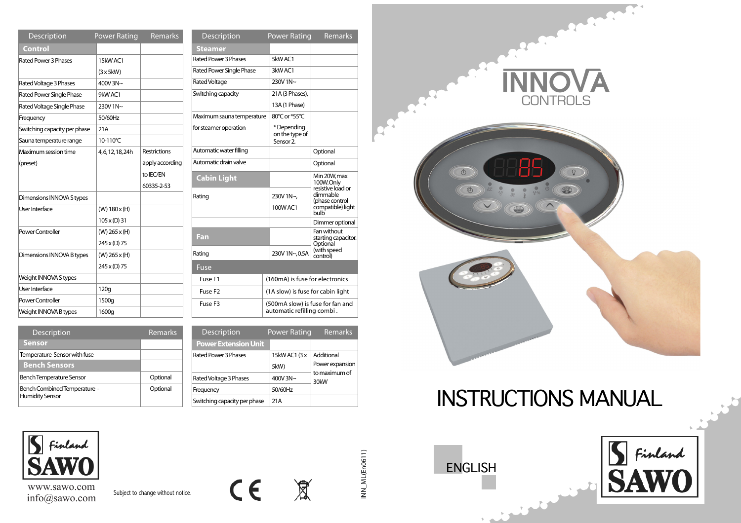| <b>Description</b>              | <b>Power Rating</b> | Remarks             | D          |
|---------------------------------|---------------------|---------------------|------------|
| Control                         |                     |                     | <b>Ste</b> |
| Rated Power 3 Phases            | 15kW AC1            |                     | Rated      |
|                                 | $(3 \times 5)$ kW)  |                     | Rated      |
| Rated Voltage 3 Phases          | 400V3N~             |                     | Rated      |
| <b>Rated Power Single Phase</b> | 9kW AC1             |                     | Switcl     |
| Rated Voltage Single Phase      | 230V 1N~            |                     |            |
| Frequency                       | 50/60Hz             |                     | Maxir      |
| Switching capacity per phase    | 21A                 |                     | for ste    |
| Sauna temperature range         | 10-110°C            |                     |            |
| Maximum session time            | 4,6,12,18,24h       | <b>Restrictions</b> | Autor      |
| (preset)                        |                     | apply according     | Autor      |
|                                 |                     | to IEC/EN           | Cal        |
|                                 |                     | 60335-2-53          |            |
| Dimensions INNOVA S types       |                     |                     | Ratino     |
| User Interface                  | (W) 180x(H)         |                     |            |
|                                 | $105 \times (D) 31$ |                     |            |
| Power Controller                | $(W)$ 265 x (H)     |                     | Far        |
|                                 | 245 x (D) 75        |                     |            |
| Dimensions INNOVA B types       | $(W)$ 265 x (H)     |                     | Ratino     |
|                                 | 245 x (D) 75        |                     | Fus        |
| Weight INNOVA S types           |                     |                     | Fu:        |
| User Interface                  | 120q                |                     | Fu:        |
| Power Controller                | 1500g               |                     | Fu:        |
| Weight INNOVA B types           | 1600g               |                     |            |

| Description               | Power Rating                                                   | <b>Remarks</b>                                 |  |  |
|---------------------------|----------------------------------------------------------------|------------------------------------------------|--|--|
| <b>Steamer</b>            |                                                                |                                                |  |  |
| Rated Power 3 Phases      | 5kW AC1                                                        |                                                |  |  |
| Rated Power Single Phase  | 3kW AC1                                                        |                                                |  |  |
| Rated Voltage             | $230V$ 1N $\sim$                                               |                                                |  |  |
| Switching capacity        | 21A (3 Phases),                                                |                                                |  |  |
|                           | 13A (1 Phase)                                                  |                                                |  |  |
| Maximum sauna temperature | 80°C or *55°C                                                  |                                                |  |  |
| for steamer operation     | * Depending<br>on the type of<br>Sensor <sub>2</sub>           |                                                |  |  |
| Automatic water filling   |                                                                | Optional                                       |  |  |
| Automatic drain valve     |                                                                | Optional                                       |  |  |
| <b>Cabin Light</b>        |                                                                | Min 20W, max<br>100W.Only<br>resistive load or |  |  |
| Rating                    | 230V 1N~,                                                      | dimmable<br>(phase control                     |  |  |
|                           | 100W AC1                                                       | compatible) light<br><b>bulb</b>               |  |  |
|                           |                                                                | Dimmer optional                                |  |  |
| Fan                       |                                                                | Fan without<br>starting capacitor.<br>Optional |  |  |
| Rating                    | 230V 1N~,0.5A                                                  | (with speed<br>control)                        |  |  |
| Fuse                      |                                                                |                                                |  |  |
| Fuse F1                   |                                                                | (160mA) is fuse for electronics                |  |  |
| Fuse F <sub>2</sub>       |                                                                | (1A slow) is fuse for cabin light              |  |  |
| Fuse F <sub>3</sub>       | (500mA slow) is fuse for fan and<br>automatic refilling combi. |                                                |  |  |

| <b>Description</b>           | <b>Remarks</b>        |  | <b>Description</b>           | <b>Power Rating</b> | Remarks               |
|------------------------------|-----------------------|--|------------------------------|---------------------|-----------------------|
| <b>Sensor</b>                |                       |  | <b>Power Extension Unit</b>  |                     |                       |
| Temperature Sensor with fuse |                       |  | Rated Power 3 Phases         | 15kW AC1 (3 x       | Additional            |
| <b>Bench Sensors</b>         |                       |  |                              | 5kW)                | Power expansion       |
| Bench Temperature Sensor     | Optional              |  | Rated Voltage 3 Phases       | 400V $3N~$          | to maximum of<br>30kW |
| Bench Combined Temperature - | Optional<br>Frequency |  | 50/60Hz                      |                     |                       |
| <b>Humidity Sensor</b>       |                       |  | Switching capacity per phase | 21A                 |                       |



| www.sawo.com  |  |
|---------------|--|
| info@sawo.com |  |

Subject to change without notice.



 $INN_M$ (En0611) INN\_ML(En0611)



# INSTRUCTIONS MANUAL

ENGLISH

t a

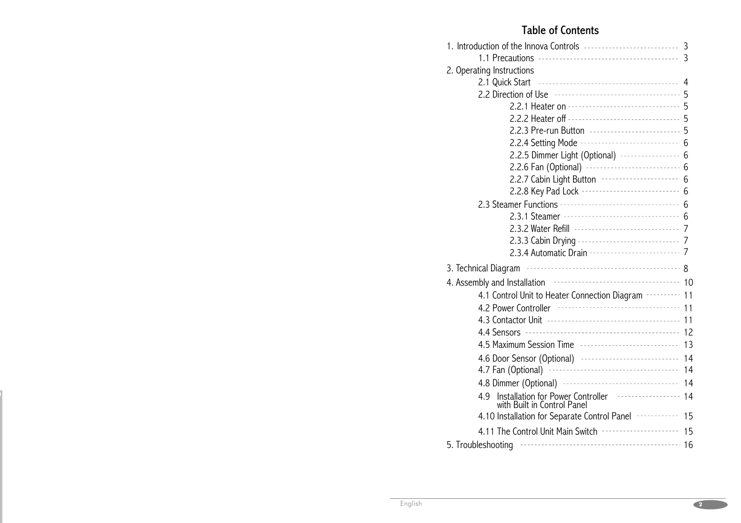# Table of Contents

|                                                                          | 3  |  |  |  |
|--------------------------------------------------------------------------|----|--|--|--|
|                                                                          | 3  |  |  |  |
| 2. Operating Instructions                                                |    |  |  |  |
| 2.1 Quick Start                                                          | 4  |  |  |  |
|                                                                          |    |  |  |  |
| 2.2.1 Heater on -------------------------------- 5                       |    |  |  |  |
| 2.2.2 Heater off --------------------------------- 5                     |    |  |  |  |
| 2.2.3 Pre-run Button --------------------------- 5                       |    |  |  |  |
| 2.2.4 Setting Mode ----------------------------- 6                       |    |  |  |  |
| 2.2.5 Dimmer Light (Optional) ----------------- 6                        |    |  |  |  |
| 2.2.6 Fan (Optional) ---------------------------- 6                      |    |  |  |  |
| 2.2.7 Cabin Light Button ---------------------                           | 6  |  |  |  |
| 2.2.8 Key Pad Lock ----------------------------                          | 6  |  |  |  |
| 2.3 Steamer Functions -----------------------------------                | 6  |  |  |  |
| 2.3.1 Steamer ----------------------------------                         | 6  |  |  |  |
| 2.3.2 Water Refill ------------------------------                        | 7  |  |  |  |
| 2.3.3 Cabin Drying ----------------------------- 7                       |    |  |  |  |
| 2.3.4 Automatic Drain --------------------------- 7                      |    |  |  |  |
| 3. Technical Diagram                                                     |    |  |  |  |
| 4. Assembly and Installation <b>contract to the Contract of Assembly</b> | 10 |  |  |  |
| 4.1 Control Unit to Heater Connection Diagram ---------- 11              |    |  |  |  |
| 4.2 Power Controller ----------------------------------                  | 11 |  |  |  |
|                                                                          | 11 |  |  |  |
|                                                                          | 12 |  |  |  |
| 4.5 Maximum Session Time ------------------------------ 13               |    |  |  |  |
| 4.6 Door Sensor (Optional) ----------------------------                  | 14 |  |  |  |
| 4.7 Fan (Optional)                                                       | 14 |  |  |  |
| 4.8 Dimmer (Optional) ----------------------------------                 | 14 |  |  |  |
| Installation for Power Controller <b>Face Strategy</b><br>4.9            | 14 |  |  |  |
| with Built in Control Panel                                              |    |  |  |  |
| 4.10 Installation for Separate Control Panel ------------                | 15 |  |  |  |
| 4.11 The Control Unit Main Switch <b>Fig. 11 The Control</b>             | 15 |  |  |  |
| 5. Troubleshooting                                                       | 16 |  |  |  |
|                                                                          |    |  |  |  |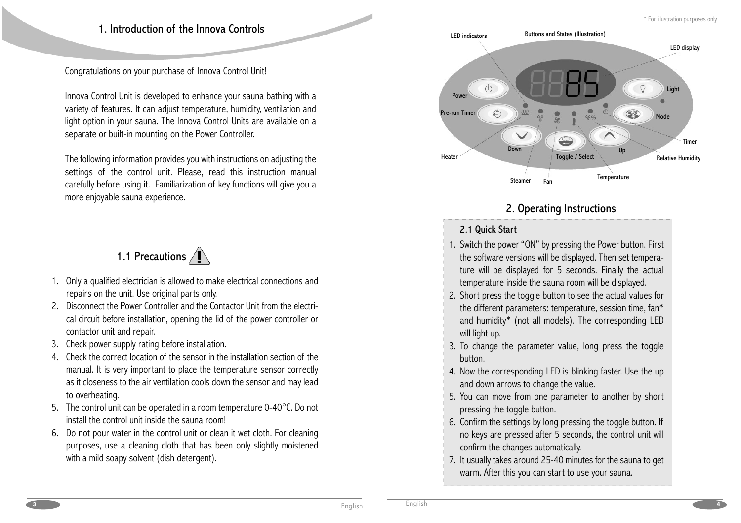# 1. Introduction of the Innova Controls

Congratulations on your purchase of Innova Control Unit!

Innova Control Unit is developed to enhance your sauna bathing with a variety of features. It can adjust temperature, humidity, ventilation and light option in your sauna. The Innova Control Units are available on a separate or built-in mounting on the Power Controller.

The following information provides you with instructions on adjusting the settings of the control unit. Please, read this instruction manual carefully before using it. Familiarization of key functions will give you a more enjoyable sauna experience.



- 1. Only a qualified electrician is allowed to make electrical connections and repairs on the unit. Use original parts only.
- 2. Disconnect the Power Controller and the Contactor Unit from the electrical circuit before installation, opening the lid of the power controller or contactor unit and repair.
- 3. Check power supply rating before installation.
- 4. Check the correct location of the sensor in the installation section of the manual. It is very important to place the temperature sensor correctly as it closeness to the air ventilation cools down the sensor and may lead to overheating.
- 5.  $\,$  The control unit can be operated in a room temperature 0-40°C. Do not  $\,$ install the control unit inside the sauna room!
- 6. Do not pour water in the control unit or clean it wet cloth. For cleaning purposes, use a cleaning cloth that has been only slightly moistened with a mild soapy solvent (dish detergent).



# 2. Operating Instructions

# 2.1 Quick Start

- 1.Switch the power "ON" by pressing the Power button. First the software versions will be displayed. Then set temperature will be displayed for 5 seconds. Finally the actual temperature inside the sauna room will be displayed.
- 2. Short press the toggle button to see the actual values for the different parameters: temperature, session time, fan\* and humidity\* (not all models). The corresponding LED will light up.
- 3. To change the parameter value, long press the toggle button.
- 4. Now the corresponding LED is blinking faster. Use the up and down arrows to change the value.
- 5. You can move from one parameter to another by short pressing the toggle button.
- 6. Confirm the settings by long pressing the toggle button. If no keys are pressed after 5 seconds, the control unit will confirm the changes automatically.
- 7. It usually takes around 25-40 minutes for the sauna to get warm. After this you can start to use your sauna.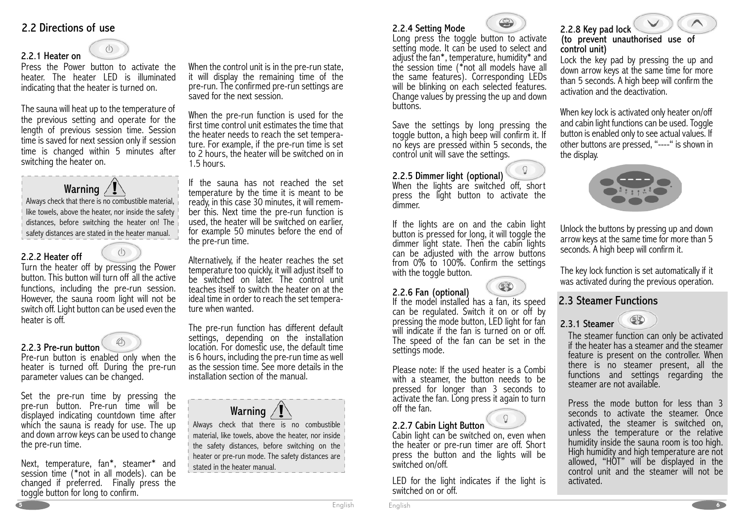# 2.2 Directions of use

2.2.1 Heater on

# $\left(\right)$

 Press the Power button to activate the heater. The heater LED is illuminated indicating that the heater is turned on.

The sauna will heat up to the temperature of the previous setting and operate for the length of previous session time. Session time is saved for next session only if session time is changed within 5 minutes after switching the heater on.

# Warning  $\angle$   $\Gamma$

Always check that there is no combustible material, like towels, above the heater, nor inside the safety distances, before switching the heater on! The safety distances are stated in the heater manual.

 $\left(\right)$ 

# 2.2.2 Heater off

 Turn the heater off by pressing the Power button. This button will turn off all the active functions, including the pre-run session. However, the sauna room light will not be switch off. Light button can be used even the heater is off.



# 2.2.3 Pre-run button

Pre-run button is enabled only when the heater is turned off. During the pre-run parameter values can be changed.

Set the pre-run time by pressing the pre-run button. Pre-run time will be displayed indicating countdown time after which the sauna is ready for use. The up and down arrow keys can be used to change. the pre-run time.

Next, temperature, fan\*, steamer\* and session time (\*not in all models). can be changed if preferred. Finally press the toggle button for long to confirm.

When the control unit is in the pre-run state, it will display the remaining time of the pre-run. The confirmed pre-run settings are<br>saved for the next session.

When the pre-run function is used for the first time control unit estimates the time that the heater needs to reach the set temperature. For example, if the pre-run time is set to 2 hours, the heater will be switched on in 1.5 hours.

If the sauna has not reached the set temperature by the time it is meant to be ready, in this case 30 minutes, it will remem ber this. Next time the pre-run function is used, the heater will be switched on earlier, for example 50 minutes before the end of the pre-run time.

Alternatively, if the heater reaches the set temperature too quickly, it will adjust itself to be switched on later. The control unit teaches itself to switch the heater on at the ideal time in order to reach the set temperature when wanted.

The pre-run function has different default settings, depending on the installation<br>location. For domestic use, the default time is 6 hours, including the pre-run time as well as the session time. See more details in the installation section of the manual.



Always check that there is no combustible material, like towels, above the heater, nor inside the safety distances, before switching on the heater or pre-run mode. The safety distances are stated in the heater manual.



# 2.2.4 Setting Mode<br>Long press the toggle button to activate setting mode. It can be used to select and adjust the fan\*, temperature, humidity\* and the session time (\*not all models have all the same features). Corresponding LEDs will be blinking on each selected features.<br>Change values by pressing the up and down<br>buttons.

Save the settings by long pressing the toggle button, a high beep will confirm it. If no keys are pressed within 5 seconds, the control unit will save the settings.

2.2.5 Dimmer light (optional)<br>When the lights are switched off, short press the light button to activate the dimmer.

If the lights are on and the cabin light<br>button is pressed for long, it will toggle the<br>dimmer light state. Then the cabin lights<br>can be adjusted with the arrow buttons<br>from 0% to 100%. Confirm the settings<br>with the toggle

# 2.2.6 Fan (optional)

 If the model installed has a fan, its speed can be regulated. Switch it on or off by pressing the mode button, LED light for fan<br>will indicate if the fan is turned on or off. The speed of the fan can be set in the settings mode.

Please note: If the used heater is a Combi with a steamer, the button needs to be pressed for longer than 3 seconds to activate the fan. Long press it again to turn<br>off the fan.

2.2.7 Cabin Light Button<br>Cabin light can be switched on, even when the heater or pre-run timer are off. Short press the button and the lights will be<br>switched\_on/off.

LED for the light indicates if the light is switched on or off.

# 2.2.8 Key pad lock (to prevent unauthorised use of control unit)

Lock the key pad by pressing the up and down arrow keys at the same time for more than 5 seconds. A high beep will confirm the activation and the deactivation.

When key lock is activated only heater on/off and cabin light functions can be used. Toggle button is enabled only to see actual values. If other buttons are pressed, "----" is shown in the display.



Unlock the buttons by pressing up and down arrow keys at the same time for more than 5 seconds. A high beep will confirm it.

The key lock function is set automatically if it was activated during the previous operation.

# 2.3 Steamer Functions

 $\left( \begin{array}{c} 0 \\ 0 \\ 0 \end{array} \right)$ 2.3.1 Steamer

> The steamer function can only be activated<br>if the heater has a steamer and the steamer feature is present on the controller. When there is no steamer present, all the functions and settings regarding the<br>steamer are not available.

> Press the mode button for less than 3 seconds to activate the steamer. Once activated, the steamer is switched on, unless the temperature or the relative humidity inside the sauna room is too high. High humidity and high temperature are not allowed, "HOT" will be displayed in the<br>control unit and the steamer will not be activated.



**5**

**<sup>6</sup>**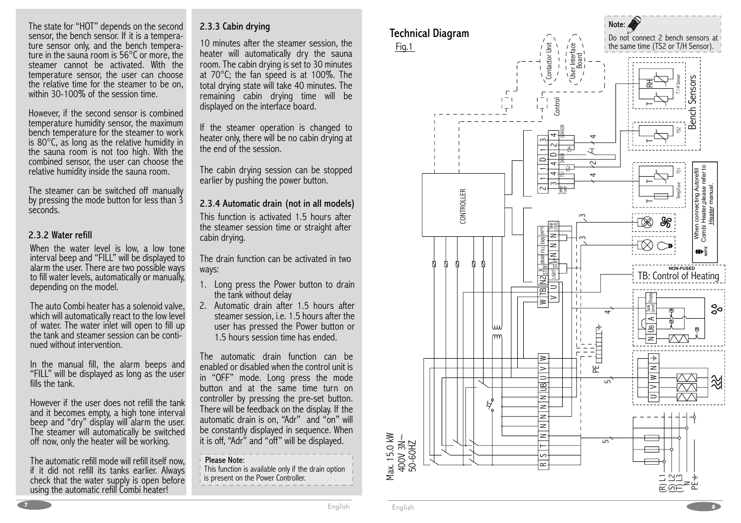#### The state for "HOT" depends on the second sensor, the bench sensor. If it is a temperature sensor only, and the bench tempera ture in the sauna room is 56°C or more, the steamer cannot be activated. With the temperature sensor, the user can choose the relative time for the steamer to be on, within 30-100% of the session time.

However, if the second sensor is combined temperature humidity sensor, the maximum bench temperature for the steamer to work is 80°C, as long as the relative humidity in the sauna room is not too high. With the combined sensor, the user can choose the relative humidity inside the sauna room.

The steamer can be switched off manually by pressing the mode button for less than 3 seconds.

#### 2.3.2 Water refill

When the water level is low, a low tone interval beep and "FILL" will be displayed to alarm the user. There are two possible ways<br>to fill water levels, automatically or manually, depending on the model.

The auto Combi heater has a solenoid valve, which will automatically react to the low level of water. The water inlet will open to fill up the tank and steamer session can be continued without intervention.

In the manual fill, the alarm beeps and "FILL" will be displayed as long as the user<br>fills the tank.

However if the user does not refill the tank and it becomes empty, a high tone interval beep and "dry" display will alarm the user.<br>The steamer will automatically be switched<br>off now, only the heater will be working.

The automatic refill mode will refill itself now, if it did not refill its tanks earlier. Always check that the water supply is open before using the automatic refill Combi heater!

# 2.3.3 Cabin drying

10 minutes after the steamer session, the heater will automatically dry the sauna room. The cabin drying is set to 30 minutes at 70°C; the fan speed is at 100%. The total drying state will take 40 minutes. The remaining cabin drying time will be displayed on the interface board.

If the steamer operation is changed to heater only, there will be no cabin drying at the end of the session.

The cabin drying session can be stopped earlier by pushing the power button.

This function is activated 1.5 hours after the steamer session time or straight after cabin drying. 2.3.4 Automatic drain (not in all models)

The drain function can be activated in two ways:

- 1. Long press the Power button to drain the tank without delay
- 2. Automatic drain after 1.5 hours after steamer session, i.e. 1.5 hours after the user has pressed the Power button or 1.5 hours session time has ended.

The automatic drain function can be enabled or disabled when the control unit is in "OFF" mode. Long press the mode button and at the same time turn on controller by pressing the pre-set button. There will be feedback on the display. If the automatic drain is on, "Adr" and "on" will be constantly displayed in sequence. When it is off, "Adr" and "off" will be displayed.

#### Please Note:

This function is available only if the drain option is present on the Power Controller.



Max. 15.0 kW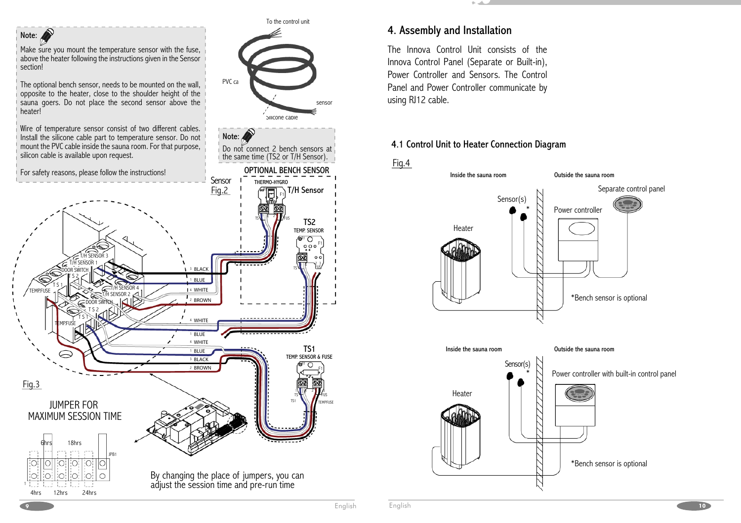

# 4. Assembly and Installation

The Innova Control Unit consists of the Innova Control Panel (Separate or Built-in), Power Controller and Sensors. The Control Panel and Power Controller communicate by using RJ12 cable.

# 4.1 Control Unit to Heater Connection Diagram



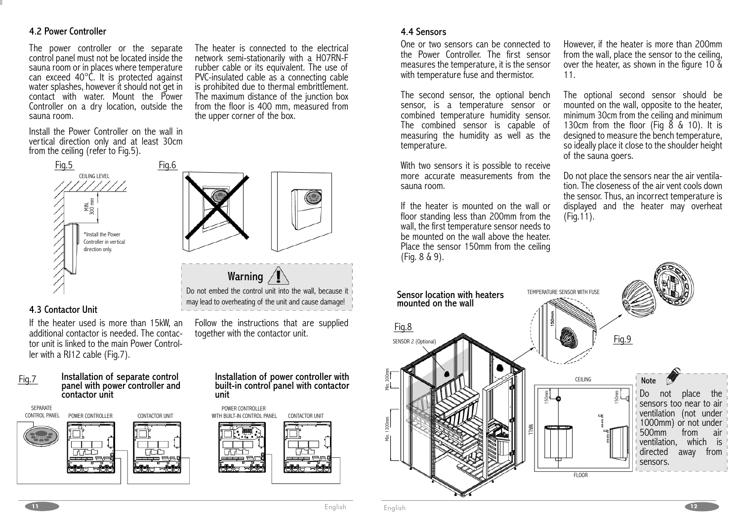## 4.2 Power Controller

The power controller or the separate control panel must not be located inside the sauna room or in places where temperature can exceed 40°C. It is protected against water splashes, however it should not get in contact with water. Mount the Power Controller on a dry location, outside the sauna room.

Install the Power Controller on the wall in vertical direction only and at least 30cm<br>from the ceiling (refer to Fig.5).



### 4.3 Contactor Unit

If the heater used is more than 15kW, an additional contactor is needed. The contactor unit is linked to the main Power Controller with a RJ12 cable (Fig.7).





The heater is connected to the electrical network semi-stationarily with a H07RN-F rubber cable or its equivalent. The use of PVC-insulated cable as a connecting cable is prohibited due to thermal embrittlement. The maximum distance of the junction box from the floor is 400 mm, measured from the upper corner of the box.



Do not embed the control unit into the wall, because it may lead to overheating of the unit and cause damage! Warning  $\sqrt{I}$ 

Follow the instructions that are supplied together with the contactor unit.

# Installation of power controller with built-in control panel with contactor unit



### 4.4 Sensors

One or two sensors can be connected to the Power Controller. The first sensor measures the temperature, it is the sensor with temperature fuse and thermistor.

The second sensor, the optional bench sensor, is a temperature sensor or combined temperature humidity sensor. The combined sensor is capable of measuring the humidity as well as the temperature.

With two sensors it is possible to receive more accurate measurements from the sauna room.

If the heater is mounted on the wall or floor standing less than 200mm from the wall, the first temperature sensor needs to be mounted on the wall above the heater. Place the sensor 150mm from the ceiling (Fig. 8 & 9).

However, if the heater is more than 200mm from the wall, place the sensor to the ceiling, over the heater, as shown in the figure 10 & 11.

The optional second sensor should be mounted on the wall, opposite to the heater, minimum 30cm from the ceiling and minimum 130cm from the floor (Fig 8 & 10). It is designed to measure the bench temperature, so ideally place it close to the shoulder height of the sauna goers.

Do not place the sensors near the air ventilation. The closeness of the air vent cools down the sensor. Thus, an incorrect temperature is displayed and the heater may overheat (Fig.11).



**11**

**h 12**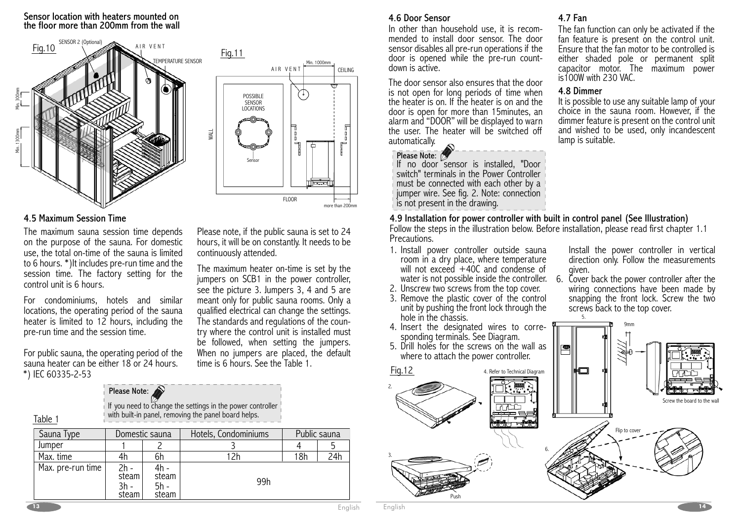#### Sensor location with heaters mounted on the floor more than 200mm from the wall



## 4.5 Maximum Session Time

 The maximum sauna session time depends on the purpose of the sauna. For domestic use, the total on-time of the sauna is limited to 6 hours. \*)It includes pre-run time and the session time. The factory setting for the control unit is 6 hours.

For condominiums, hotels and similar locations, the operating period of the sauna heater is limited to 12 hours, including the pre-run time and the session time.

For public sauna, the operating period of the sauna heater can be either 18 or 24 hours. \*) IEC 60335-2-53

# Please Note:

If you need to change the settings in the power controller with built-in panel, removing the panel board helps.

| Sauna Type        |                        | Domestic sauna                 | Hotels, Condominiums |     | Public sauna |
|-------------------|------------------------|--------------------------------|----------------------|-----|--------------|
| Jumper            |                        |                                |                      |     |              |
| Max. time         |                        | 6h                             |                      | 18h | 24h          |
| Max. pre-run time | steam<br>3h -<br>steam | 4h -<br>steam<br>5h -<br>steam | 99h                  |     |              |



Please note, if the public sauna is set to 24 hours, it will be on constantly. It needs to be continuously attended.

The maximum heater on-time is set by the jumpers on SCB1 in the power controller, see the picture 3. Jumpers 3, 4 and 5 are meant only for public sauna rooms. Only a qualified electrical can change the settings. The standards and regulations of the country where the control unit is installed must be followed, when setting the jumpers. When no jumpers are placed, the default time is 6 hours. See the Table 1.

# 4.6 Door Sensor

 In other than household use, it is recommended to install door sensor. The door sensor disables all pre-run operations if the door is opened while the pre-run countdown is active.

The door sensor also ensures that the door is not open for long periods of time when the heater is on. If the heater is on and the door is open for more than 15minutes, an alarm and "DOOR" will be displayed to warn<br>the user. The heater will be switched off automatically.



 If no door sensor is installed, "Door switch" terminals in the Power Controller must be connected with each other by a<br>jumper wire. See fig. 2. Note: connection is not present in the drawing.

# 4.7 Fan

The fan function can only be activated if the fan feature is present on the control unit. Ensure that the fan motor to be controlled is either shaded pole or permanent split capacitor motor. The maximum power is100W with 230 VAC.

# 4.8 Dimmer

5.

It is possible to use any suitable lamp of your choice in the sauna room. However, if the dimmer feature is present on the control unit and wished to be used, only incandescent<br>lamp is suitable.

# 4.9 Installation for power controller with built in control panel (See Illustration)

Follow the steps in the illustration below. Before installation, please read first chapter 1.1 Precautions.

- 1. Install power controller outside sauna room in a dry place, where temperature will not exceed  $+40C$  and condense of water is not possible inside the controller. 6.
- 2. Unscrew two screws from the top cover.
- 3. Remove the plastic cover of the control unit by pushing the front lock through the hole in the chassis.
- 
- where to attach the power controller.

Install the power controller in vertical direction only. Follow the measurements given.<br>Cover back the power controller after the

wiring connections have been made by snapping the front lock. Screw the two screws back to the top cover.



**13**

Table 1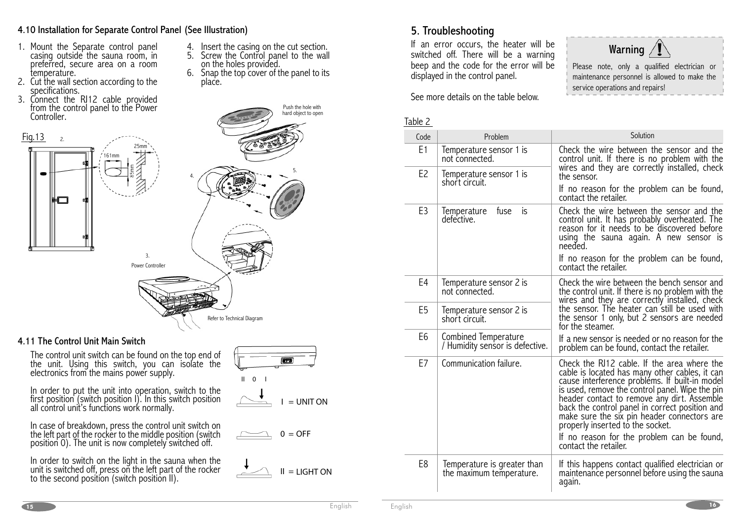# 4.10 Installation for Separate Control Panel (See IIlustration)

- casing outside the sauna room, in preferred, secure area on a room temperature. 1. Mount the Separate control panel
- 2. Cut the wall section according to the
- temperature.<br>Cut the wall section according to the<br>specifications.<br>Connect the RJ12 cable provided<br>from the control panel to the Power<br>Controller. 3.

Fig.13



### 4.11 The Control Unit Main Switch

The control unit. Using this switch, you can isolate the electronics from the mains power supply. The control unit switch can be found on the top end of

In order to put the unit into operation, switch to the first position (switch position I). In this switch position all control unit's functions work normally.

In case of breakdown, press the control unit switch on the left part of the rocker to the middle position (switch position 0). The unit is now completely switched off.

In order to switch on the light in the sauna when the unit is switched off, press on the left part of the rocker to the second position (switch position II).



Push the hole with hard object to open

Insert the casing on the cut section. Screw the Control panel to the wall on the holes provided. Snap the top cover of the panel to its place. 4. 5. 6.

5.







 If an error occurs, the heater will be switched off. There will be a warning beep and the code for the error will be displayed in the control panel.

See more details on the table below.

# Warning

Please note, only a qualified electrician or maintenance personnel is allowed to make the service operations and repairs!

| Table 2        |                                                         |                                                                                                                                                                                                                                                                                                                                                                                                                                                               |
|----------------|---------------------------------------------------------|---------------------------------------------------------------------------------------------------------------------------------------------------------------------------------------------------------------------------------------------------------------------------------------------------------------------------------------------------------------------------------------------------------------------------------------------------------------|
| Code           | Problem                                                 | Solution                                                                                                                                                                                                                                                                                                                                                                                                                                                      |
| E <sub>1</sub> | Temperature sensor 1 is<br>not connected.               | Check the wire between the sensor and the<br>control unit. If there is no problem with the<br>wires and they are correctly installed, check                                                                                                                                                                                                                                                                                                                   |
| E <sub>2</sub> | Temperature sensor 1 is<br>short circuit.               | the sensor.                                                                                                                                                                                                                                                                                                                                                                                                                                                   |
|                |                                                         | If no reason for the problem can be found,<br>contact the retailer.                                                                                                                                                                                                                                                                                                                                                                                           |
| E3             | is<br>fuse<br>Temperature<br>defective.                 | Check the wire between the sensor and the<br>control unit. It has probably overheated. The<br>reason for it needs to be discovered before<br>using the sauna again. A new sensor is<br>needed.                                                                                                                                                                                                                                                                |
|                |                                                         | If no reason for the problem can be found,<br>contact the retailer.                                                                                                                                                                                                                                                                                                                                                                                           |
| E4             | Temperature sensor 2 is<br>not connected.               | Check the wire between the bench sensor and<br>the control unit. If there is no problem with the                                                                                                                                                                                                                                                                                                                                                              |
| E5             | Temperature sensor 2 is<br>short circuit.               | wires and they are correctly installed, check<br>the sensor. The heater can still be used with<br>the sensor 1 only, but 2 sensors are needed<br>for the steamer.                                                                                                                                                                                                                                                                                             |
| E6             | Combined Temperature<br>/ Humidity sensor is defective. | If a new sensor is needed or no reason for the<br>problem can be found, contact the retailer.                                                                                                                                                                                                                                                                                                                                                                 |
| E7             | Communication failure.                                  | Check the RJ12 cable. If the area where the<br>cable is located has many other cables, it can<br>cause interference problems. If built-in model<br>is used, remove the control panel. Wipe the pin<br>header contact to remove any dirt. Assemble<br>back the control panel in correct position and<br>make sure the six pin header connectors are<br>properly inserted to the socket.<br>If no reason for the problem can be found,<br>contact the retailer. |
| E8             | Temperature is greater than<br>the maximum temperature. | If this happens contact qualified electrician or<br>maintenance personnel before using the sauna<br>again.                                                                                                                                                                                                                                                                                                                                                    |